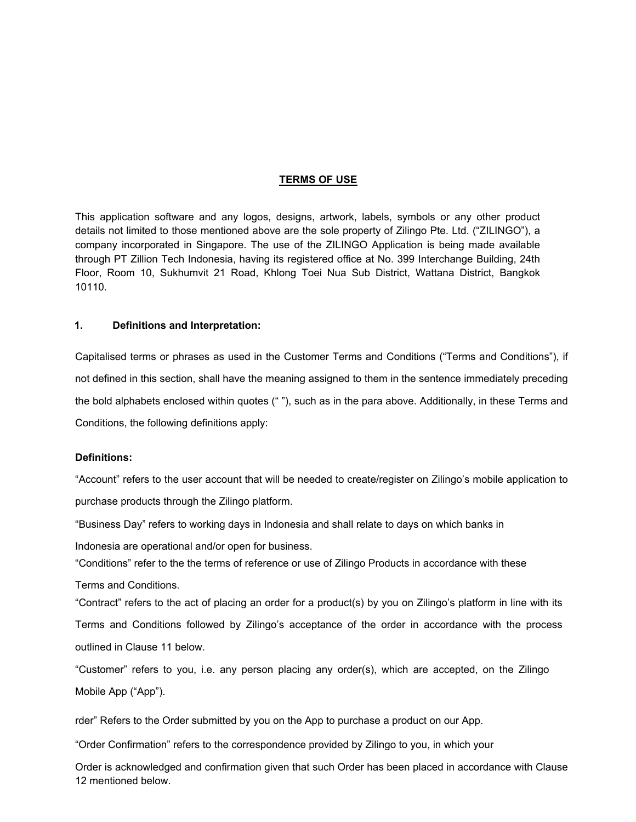#### **TERMS OF USE**

This application software and any logos, designs, artwork, labels, symbols or any other product details not limited to those mentioned above are the sole property of Zilingo Pte. Ltd. ("ZILINGO"), a company incorporated in Singapore. The use of the ZILINGO Application is being made available through PT Zillion Tech Indonesia, having its registered office at No. 399 Interchange Building, 24th Floor, Room 10, Sukhumvit 21 Road, Khlong Toei Nua Sub District, Wattana District, Bangkok 10110.

#### **1. Definitions and Interpretation:**

Capitalised terms or phrases as used in the Customer Terms and Conditions ("Terms and Conditions"), if not defined in this section, shall have the meaning assigned to them in the sentence immediately preceding the bold alphabets enclosed within quotes (" "), such as in the para above. Additionally, in these Terms and Conditions, the following definitions apply:

#### **Definitions:**

"Account" refers to the user account that will be needed to create/register on Zilingo's mobile application to purchase products through the Zilingo platform.

"Business Day" refers to working days in Indonesia and shall relate to days on which banks in

Indonesia are operational and/or open for business.

"Conditions" refer to the the terms of reference or use of Zilingo Products in accordance with these

Terms and Conditions.

"Contract" refers to the act of placing an order for a product(s) by you on Zilingo's platform in line with its Terms and Conditions followed by Zilingo's acceptance of the order in accordance with the process outlined in Clause 11 below.

"Customer" refers to you, i.e. any person placing any order(s), which are accepted, on the Zilingo Mobile App ("App").

rder" Refers to the Order submitted by you on the App to purchase a product on our App.

"Order Confirmation" refers to the correspondence provided by Zilingo to you, in which your

Order is acknowledged and confirmation given that such Order has been placed in accordance with Clause 12 mentioned below.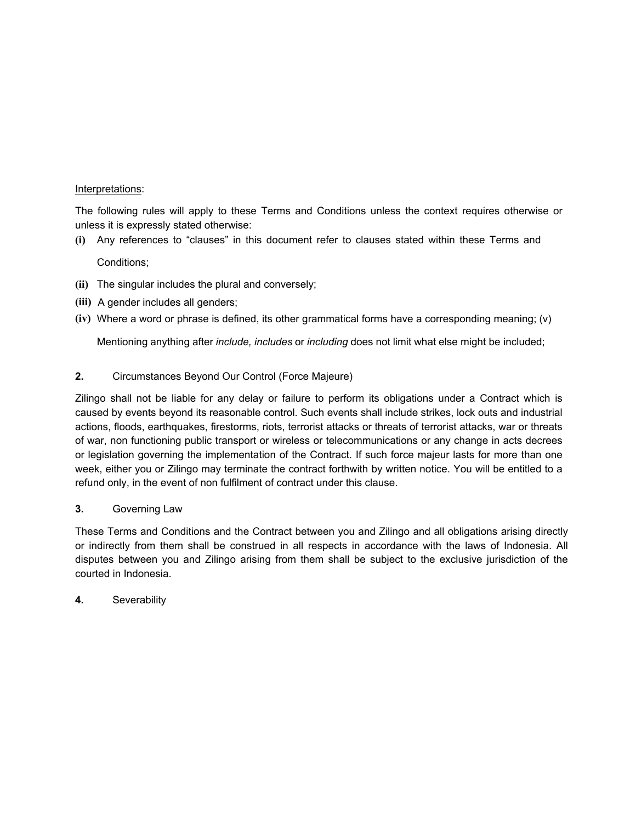#### Interpretations:

The following rules will apply to these Terms and Conditions unless the context requires otherwise or unless it is expressly stated otherwise:

- **(i)** Any references to "clauses" in this document refer to clauses stated within these Terms and Conditions;
- **(ii)** The singular includes the plural and conversely;
- **(iii)** A gender includes all genders;
- **(iv)** Where a word or phrase is defined, its other grammatical forms have a corresponding meaning; (v)

Mentioning anything after *include, includes* or *including* does not limit what else might be included;

### **2.** Circumstances Beyond Our Control (Force Majeure)

Zilingo shall not be liable for any delay or failure to perform its obligations under a Contract which is caused by events beyond its reasonable control. Such events shall include strikes, lock outs and industrial actions, floods, earthquakes, firestorms, riots, terrorist attacks or threats of terrorist attacks, war or threats of war, non functioning public transport or wireless or telecommunications or any change in acts decrees or legislation governing the implementation of the Contract. If such force majeur lasts for more than one week, either you or Zilingo may terminate the contract forthwith by written notice. You will be entitled to a refund only, in the event of non fulfilment of contract under this clause.

### **3.** Governing Law

These Terms and Conditions and the Contract between you and Zilingo and all obligations arising directly or indirectly from them shall be construed in all respects in accordance with the laws of Indonesia. All disputes between you and Zilingo arising from them shall be subject to the exclusive jurisdiction of the courted in Indonesia.

**4.** Severability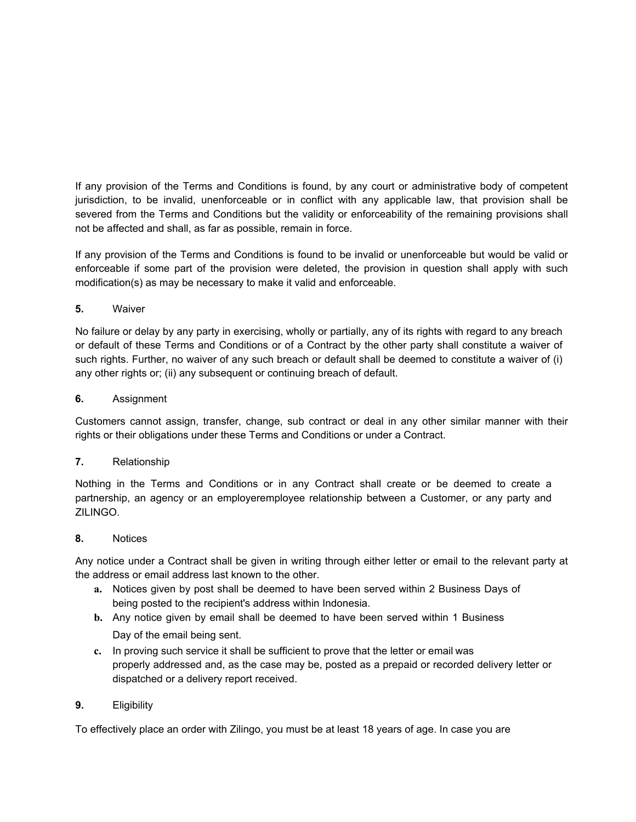If any provision of the Terms and Conditions is found, by any court or administrative body of competent jurisdiction, to be invalid, unenforceable or in conflict with any applicable law, that provision shall be severed from the Terms and Conditions but the validity or enforceability of the remaining provisions shall not be affected and shall, as far as possible, remain in force.

If any provision of the Terms and Conditions is found to be invalid or unenforceable but would be valid or enforceable if some part of the provision were deleted, the provision in question shall apply with such modification(s) as may be necessary to make it valid and enforceable.

# **5.** Waiver

No failure or delay by any party in exercising, wholly or partially, any of its rights with regard to any breach or default of these Terms and Conditions or of a Contract by the other party shall constitute a waiver of such rights. Further, no waiver of any such breach or default shall be deemed to constitute a waiver of (i) any other rights or; (ii) any subsequent or continuing breach of default.

### **6.** Assignment

Customers cannot assign, transfer, change, sub contract or deal in any other similar manner with their rights or their obligations under these Terms and Conditions or under a Contract.

### **7.** Relationship

Nothing in the Terms and Conditions or in any Contract shall create or be deemed to create a partnership, an agency or an employeremployee relationship between a Customer, or any party and ZILINGO.

### **8.** Notices

Any notice under a Contract shall be given in writing through either letter or email to the relevant party at the address or email address last known to the other.

- **a.** Notices given by post shall be deemed to have been served within 2 Business Days of being posted to the recipient's address within Indonesia.
- **b.** Any notice given by email shall be deemed to have been served within 1 Business Day of the email being sent.
- **c.** In proving such service it shall be sufficient to prove that the letter or email was properly addressed and, as the case may be, posted as a prepaid or recorded delivery letter or dispatched or a delivery report received.

# **9.** Eligibility

To effectively place an order with Zilingo, you must be at least 18 years of age. In case you are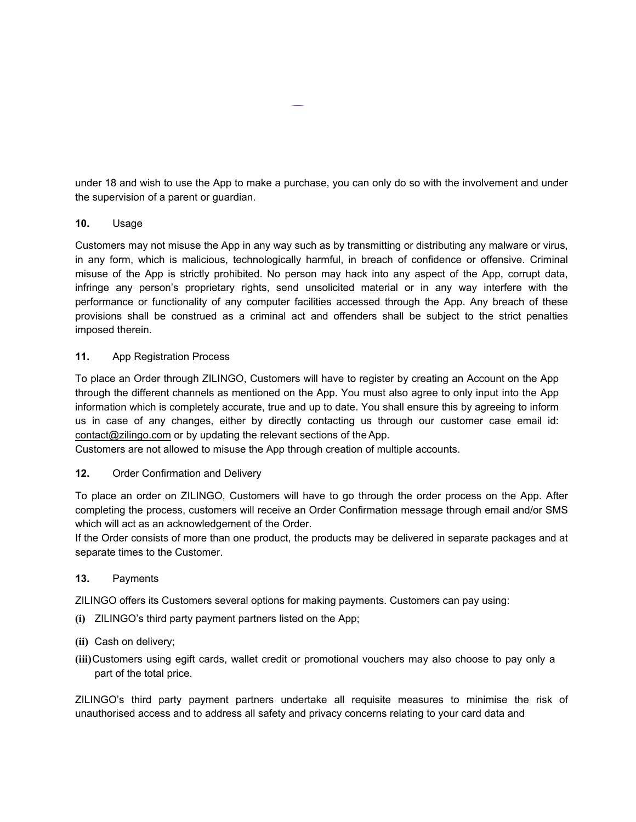under 18 and wish to use the App to make a purchase, you can only do so with the involvement and under the supervision of a parent or guardian.

# **10.** Usage

Customers may not misuse the App in any way such as by transmitting or distributing any malware or virus, in any form, which is malicious, technologically harmful, in breach of confidence or offensive. Criminal misuse of the App is strictly prohibited. No person may hack into any aspect of the App, corrupt data, infringe any person's proprietary rights, send unsolicited material or in any way interfere with the performance or functionality of any computer facilities accessed through the App. Any breach of these provisions shall be construed as a criminal act and offenders shall be subject to the strict penalties imposed therein.

### **11.** App Registration Process

To place an Order through ZILINGO, Customers will have to register by creating an Account on the App through the different channels as mentioned on the App. You must also agree to only input into the App information which is completely accurate, true and up to date. You shall ensure this by agreeing to inform us in case of any changes, either by directly contacting us through our customer case email id: [contact@zilingo.com or by updating the relevant sections of the](mailto:contact@zilingo.com) App.

Customers are not allowed to misuse the App through creation of multiple accounts.

### **12.** Order Confirmation and Delivery

To place an order on ZILINGO, Customers will have to go through the order process on the App. After completing the process, customers will receive an Order Confirmation message through email and/or SMS which will act as an acknowledgement of the Order.

If the Order consists of more than one product, the products may be delivered in separate packages and at separate times to the Customer.

### **13.** Payments

ZILINGO offers its Customers several options for making payments. Customers can pay using:

- **(i)** ZILINGO's third party payment partners listed on the App;
- **(ii)** Cash on delivery;
- **(iii)**Customers using egift cards,wallet credit or promotional vouchers may also choose to pay only a part of the total price.

ZILINGO's third party payment partners undertake all requisite measures to minimise the risk of unauthorised access and to address all safety and privacy concerns relating to your card data and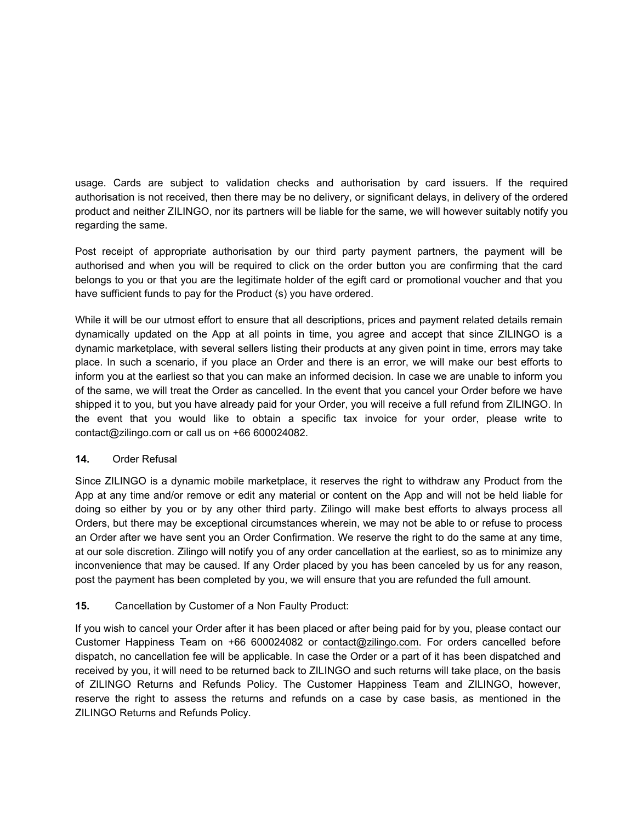usage. Cards are subject to validation checks and authorisation by card issuers. If the required authorisation is not received, then there may be no delivery, or significant delays, in delivery of the ordered product and neither ZILINGO, nor its partners will be liable for the same, we will however suitably notify you regarding the same.

Post receipt of appropriate authorisation by our third party payment partners, the payment will be authorised and when you will be required to click on the order button you are confirming that the card belongs to you or that you are the legitimate holder of the egift card or promotional voucher and that you have sufficient funds to pay for the Product (s) you have ordered.

While it will be our utmost effort to ensure that all descriptions, prices and payment related details remain dynamically updated on the App at all points in time, you agree and accept that since ZILINGO is a dynamic marketplace, with several sellers listing their products at any given point in time, errors may take place. In such a scenario, if you place an Order and there is an error, we will make our best efforts to inform you at the earliest so that you can make an informed decision. In case we are unable to inform you of the same, we will treat the Order as cancelled. In the event that you cancel your Order before we have shipped it to you, but you have already paid for your Order, you will receive a full refund from ZILINGO. In the event that you would like to obtain a specific tax invoice for your order, please write to contact@zilingo.com or call us on +66 600024082.

### **14.** Order Refusal

Since ZILINGO is a dynamic mobile marketplace, it reserves the right to withdraw any Product from the App at any time and/or remove or edit any material or content on the App and will not be held liable for doing so either by you or by any other third party. Zilingo will make best efforts to always process all Orders, but there may be exceptional circumstances wherein, we may not be able to or refuse to process an Order after we have sent you an Order Confirmation. We reserve the right to do the same at any time, at our sole discretion. Zilingo will notify you of any order cancellation at the earliest, so as to minimize any inconvenience that may be caused. If any Order placed by you has been canceled by us for any reason, post the payment has been completed by you, we will ensure that you are refunded the full amount.

# **15.** Cancellation by Customer of a Non Faulty Product:

If you wish to cancel your Order after it has been placed or after being paid for by you, please contact our Customer Happiness Team on +66 600024082 or [contact@zilingo.com. For orders cancelled](mailto:contact@zilingo.com) before dispatch, no cancellation fee will be applicable. In case the Order or a part of it has been dispatched and received by you, it will need to be returned back to ZILINGO and such returns will take place, on the basis of ZILINGO Returns and Refunds Policy. The Customer Happiness Team and ZILINGO, however, reserve the right to assess the returns and refunds on a case by case basis, as mentioned in the ZILINGO Returns and Refunds Policy.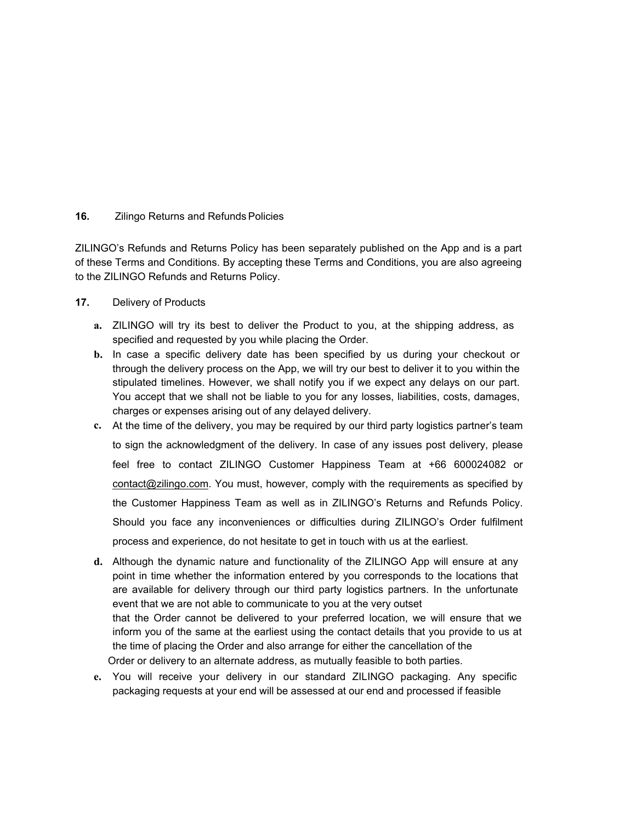### **16.** Zilingo Returns and Refunds Policies

ZILINGO's Refunds and Returns Policy has been separately published on the App and is a part of these Terms and Conditions. By accepting these Terms and Conditions, you are also agreeing to the ZILINGO Refunds and Returns Policy.

- **17.** Delivery of Products
	- **a.** ZILINGO will try its best to deliver the Product to you, at the shipping address, as specified and requested by you while placing the Order.
	- **b.** In case a specific delivery date has been specified by us during your checkout or through the delivery process on the App, we will try our best to deliver it to you within the stipulated timelines. However, we shall notify you if we expect any delays on our part. You accept that we shall not be liable to you for any losses, liabilities, costs, damages, charges or expenses arising out of any delayed delivery.
	- **c.** At the time of the delivery, you may be required by our third party logistics partner's team to sign the acknowledgment of the delivery. In case of any issues post delivery, please feel free to contact ZILINGO Customer Happiness Team at +66 600024082 or [contact@zilingo.com. You must, however, comply with the requirements as specified by](mailto:contact@zilingo.com)  [the Customer Happiness Team as well as in ZILINGO's Returns and Refunds Policy.](mailto:contact@zilingo.com)  [Should you face any inconveniences or difficulties during ZILINGO's Order fulfilment](mailto:contact@zilingo.com)  [process and experience, do not hesitate to get in touch with us at the](mailto:contact@zilingo.com) earliest.
	- **d.** Although the dynamic nature and functionality of the ZILINGO App will ensure at any point in time whether the information entered by you corresponds to the locations that are available for delivery through our third party logistics partners. In the unfortunate event that we are not able to communicate to you at the very outset that the Order cannot be delivered to your preferred location, we will ensure that we inform you of the same at the earliest using the contact details that you provide to us at the time of placing the Order and also arrange for either the cancellation of the Order or delivery to an alternate address, as mutually feasible to both parties.
	- **e.** You will receive your delivery in our standard ZILINGO packaging. Any specific packaging requests at your end will be assessed at our end and processed if feasible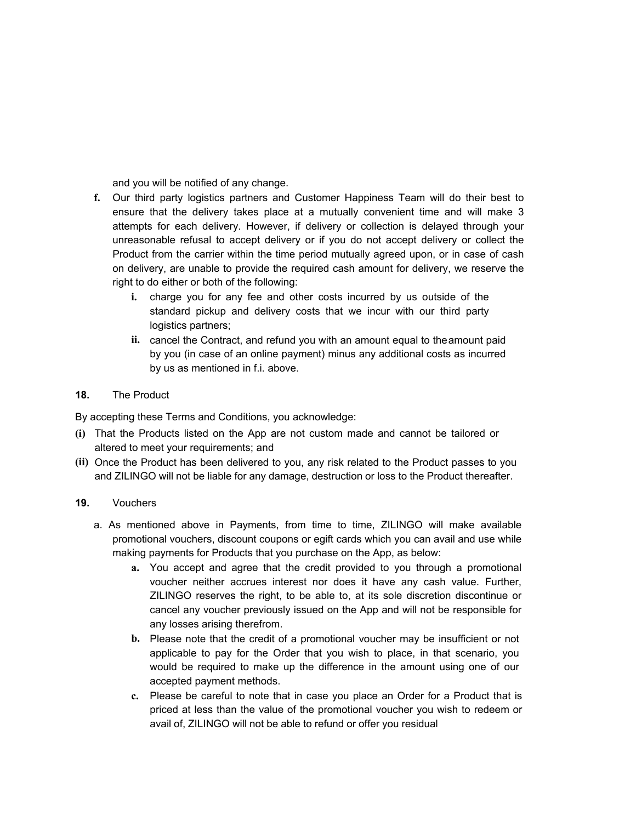and you will be notified of any change.

- **f.** Our third party logistics partners and Customer Happiness Team will do their best to ensure that the delivery takes place at a mutually convenient time and will make 3 attempts for each delivery. However, if delivery or collection is delayed through your unreasonable refusal to accept delivery or if you do not accept delivery or collect the Product from the carrier within the time period mutually agreed upon, or in case of cash on delivery, are unable to provide the required cash amount for delivery, we reserve the right to do either or both of the following:
	- **i.** charge you for any fee and other costs incurred by us outside of the standard pickup and delivery costs that we incur with our third party logistics partners;
	- **ii.** cancel the Contract, and refund you with an amount equal to theamount paid by you (in case of an online payment) minus any additional costs as incurred by us as mentioned in f.i. above.

# **18.** The Product

By accepting these Terms and Conditions, you acknowledge:

- **(i)** That the Products listed on the App are not custom made and cannot be tailored or altered to meet your requirements; and
- **(ii)** Once the Product has been delivered to you, any risk related to the Product passes to you and ZILINGO will not be liable for any damage, destruction or loss to the Product thereafter.

### **19.** Vouchers

- a. As mentioned above in Payments, from time to time, ZILINGO will make available promotional vouchers, discount coupons or egift cards which you can avail and use while making payments for Products that you purchase on the App, as below:
	- **a.** You accept and agree that the credit provided to you through a promotional voucher neither accrues interest nor does it have any cash value. Further, ZILINGO reserves the right, to be able to, at its sole discretion discontinue or cancel any voucher previously issued on the App and will not be responsible for any losses arising therefrom.
	- **b.** Please note that the credit of a promotional voucher may be insufficient or not applicable to pay for the Order that you wish to place, in that scenario, you would be required to make up the difference in the amount using one of our accepted payment methods.
	- **c.** Please be careful to note that in case you place an Order for a Product that is priced at less than the value of the promotional voucher you wish to redeem or avail of, ZILINGO will not be able to refund or offer you residual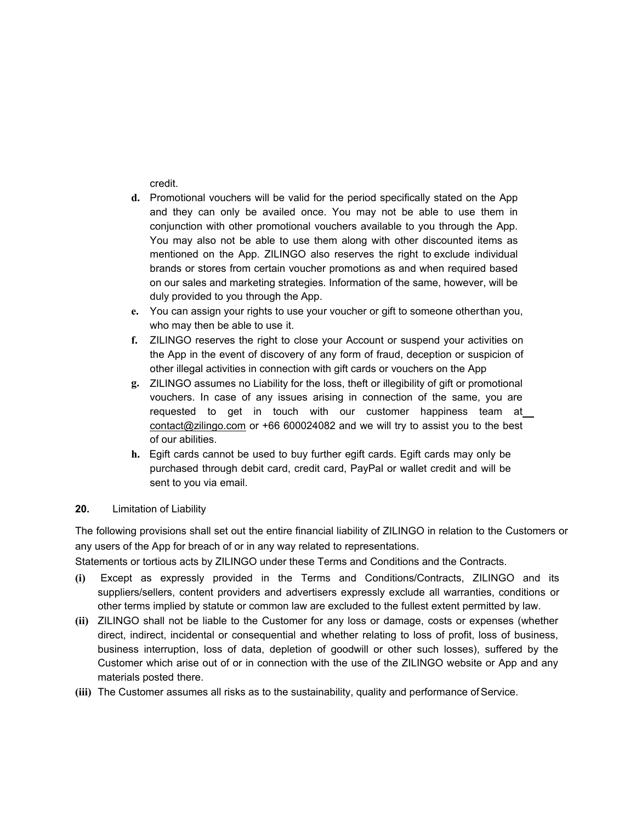credit.

- **d.** Promotional vouchers will be valid for the period specifically stated on the App and they can only be availed once. You may not be able to use them in conjunction with other promotional vouchers available to you through the App. You may also not be able to use them along with other discounted items as mentioned on the App. ZILINGO also reserves the right to exclude individual brands or stores from certain voucher promotions as and when required based on our sales and marketing strategies. Information of the same, however, will be duly provided to you through the App.
- **e.** You can assign your rights to use your voucher or gift to someone otherthan you, who may then be able to use it.
- **f.** ZILINGO reserves the right to close your Account or suspend your activities on the App in the event of discovery of any form of fraud, deception or suspicion of other illegal activities in connection with gift cards or vouchers on the App
- **g.** ZILINGO assumes no Liability for the loss, theft or illegibility of gift or promotional vouchers. In case of any issues arising in connection of the same, you are requested to get in touch with our customer happiness team at [contact@zilingo.com](mailto:contact@zilingo.com) [or +66 600024082 and we will try to assist you to the best](mailto:contact@zilingo.com)  [of our abilities.](mailto:contact@zilingo.com)
- **h.** Egift cards cannot be used to buy further egift cards. Egift cards may only be purchased through debit card, credit card, PayPal or wallet credit and will be sent to you via email.

### **20.** Limitation of Liability

The following provisions shall set out the entire financial liability of ZILINGO in relation to the Customers or any users of the App for breach of or in any way related to representations.

Statements or tortious acts by ZILINGO under these Terms and Conditions and the Contracts.

- **(i)** Except as expressly provided in the Terms and Conditions/Contracts, ZILINGO and its suppliers/sellers, content providers and advertisers expressly exclude all warranties, conditions or other terms implied by statute or common law are excluded to the fullest extent permitted by law.
- **(ii)** ZILINGO shall not be liable to the Customer for any loss or damage, costs or expenses (whether direct, indirect, incidental or consequential and whether relating to loss of profit, loss of business, business interruption, loss of data, depletion of goodwill or other such losses), suffered by the Customer which arise out of or in connection with the use of the ZILINGO website or App and any materials posted there.
- **(iii)** The Customer assumes all risks as to the sustainability, quality and performance of Service.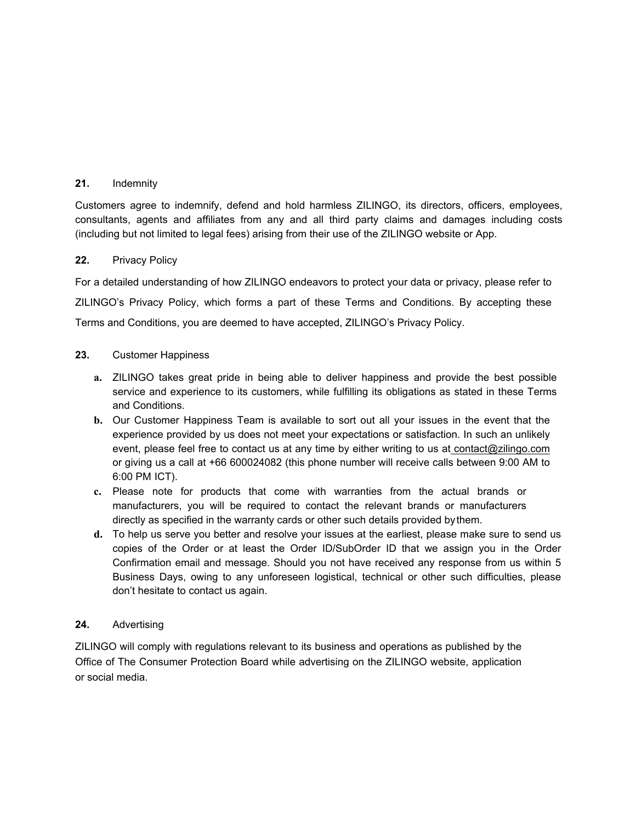## **21.** Indemnity

Customers agree to indemnify, defend and hold harmless ZILINGO, its directors, officers, employees, consultants, agents and affiliates from any and all third party claims and damages including costs (including but not limited to legal fees) arising from their use of the ZILINGO website or App.

# **22.** Privacy Policy

For a detailed understanding of how ZILINGO endeavors to protect your data or privacy, please refer to ZILINGO's Privacy Policy, which forms a part of these Terms and Conditions. By accepting these Terms and Conditions, you are deemed to have accepted, ZILINGO's Privacy Policy.

# **23.** Customer Happiness

- **a.** ZILINGO takes great pride in being able to deliver happiness and provide the best possible service and experience to its customers, while fulfilling its obligations as stated in these Terms and Conditions.
- **b.** Our Customer Happiness Team is available to sort out all your issues in the event that the experience provided by us does not meet your expectations or satisfaction. In such an unlikely event, please feel free to contact us at any time by either writing to us at [contact@zilingo.com](mailto:contact@zilingo.com) [or giving us a call at +66 600024082 \(this phone number will receive calls between 9:00 AM to](mailto:contact@zilingo.com)  [6:00 PM](mailto:contact@zilingo.com) ICT).
- **c.** Please note for products that come with warranties from the actual brands or manufacturers, you will be required to contact the relevant brands or manufacturers directly as specified in the warranty cards or other such details provided bythem.
- **d.** To help us serve you better and resolve your issues at the earliest, please make sure to send us copies of the Order or at least the Order ID/SubOrder ID that we assign you in the Order Confirmation email and message. Should you not have received any response from us within 5 Business Days, owing to any unforeseen logistical, technical or other such difficulties, please don't hesitate to contact us again.

### **24.** Advertising

ZILINGO will comply with regulations relevant to its business and operations as published by the Office of The Consumer Protection Board while advertising on the ZILINGO website, application or social media.